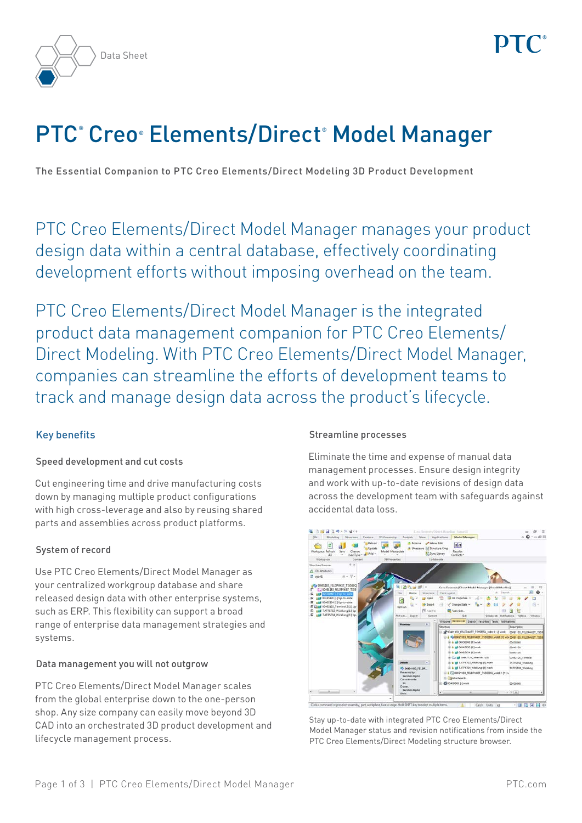



# PTC° Creo® Elements/Direct® Model Manager

The Essential Companion to PTC Creo Elements/Direct Modeling 3D Product Development

PTC Creo Elements/Direct Model Manager manages your product design data within a central database, effectively coordinating development efforts without imposing overhead on the team.

PTC Creo Elements/Direct Model Manager is the integrated product data management companion for PTC Creo Elements/ Direct Modeling. With PTC Creo Elements/Direct Model Manager, companies can streamline the efforts of development teams to track and manage design data across the product's lifecycle.

# Key benefits

# Speed development and cut costs

Cut engineering time and drive manufacturing costs down by managing multiple product configurations with high cross-leverage and also by reusing shared parts and assemblies across product platforms.

# System of record

Use PTC Creo Elements/Direct Model Manager as your centralized workgroup database and share released design data with other enterprise systems, such as ERP. This flexibility can support a broad range of enterprise data management strategies and systems.

# Data management you will not outgrow

PTC Creo Elements/Direct Model Manager scales from the global enterprise down to the one-person shop. Any size company can easily move beyond 3D CAD into an orchestrated 3D product development and lifecycle management process.

# Streamline processes

Eliminate the time and expense of manual data management processes. Ensure design integrity and work with up-to-date revisions of design data across the development team with safeguards against accidental data loss.



Stay up-to-date with integrated PTC Creo Elements/Direct Model Manager status and revision notifications from inside the PTC Creo Elements/Direct Modeling structure browser.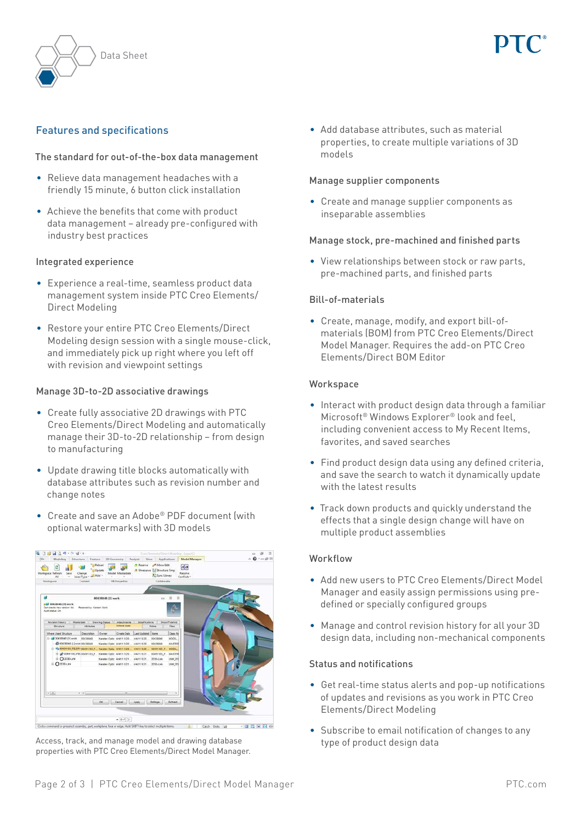



# Features and specifications

## The standard for out-of-the-box data management

- Relieve data management headaches with a friendly 15 minute, 6 button click installation
- Achieve the benefits that come with product data management – already pre-configured with industry best practices

#### Integrated experience

- Experience a real-time, seamless product data management system inside PTC Creo Elements/ Direct Modeling
- Restore your entire PTC Creo Elements/Direct Modeling design session with a single mouse-click, and immediately pick up right where you left off with revision and viewpoint settings

## Manage 3D-to-2D associative drawings

- Create fully associative 2D drawings with PTC Creo Elements/Direct Modeling and automatically manage their 3D-to-2D relationship – from design to manufacturing
- Update drawing title blocks automatically with database attributes such as revision number and change notes
- Create and save an Adobe® PDF document (with optional watermarks) with 3D models



Access, track, and manage model and drawing database properties with PTC Creo Elements/Direct Model Manager.

• Add database attributes, such as material properties, to create multiple variations of 3D models

#### Manage supplier components

• Create and manage supplier components as inseparable assemblies

## Manage stock, pre-machined and finished parts

• View relationships between stock or raw parts, pre-machined parts, and finished parts

#### Bill-of-materials

• Create, manage, modify, and export bill-ofmaterials (BOM) from PTC Creo Elements/Direct Model Manager. Requires the add-on PTC Creo Elements/Direct BOM Editor

#### **Workspace**

- Interact with product design data through a familiar Microsoft® Windows Explorer® look and feel, including convenient access to My Recent Items, favorites, and saved searches
- Find product design data using any defined criteria, and save the search to watch it dynamically update with the latest results
- Track down products and quickly understand the effects that a single design change will have on multiple product assemblies

#### Workflow

- Add new users to PTC Creo Elements/Direct Model Manager and easily assign permissions using predefined or specially configured groups
- Manage and control revision history for all your 3D design data, including non-mechanical components

#### Status and notifications

- Get real-time status alerts and pop-up notifications of updates and revisions as you work in PTC Creo Elements/Direct Modeling
- Subscribe to email notification of changes to any type of product design data